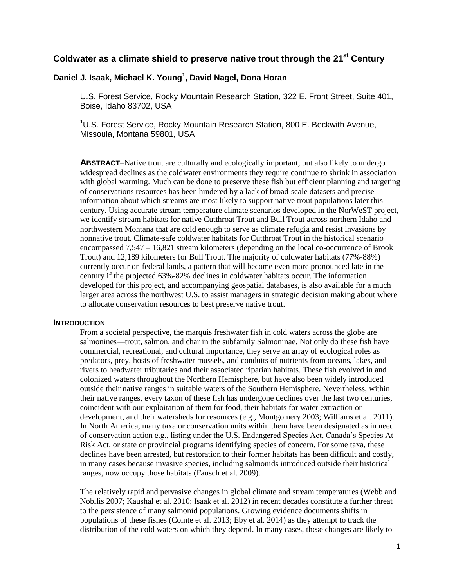# **Coldwater as a climate shield to preserve native trout through the 21st Century**

# **Daniel J. Isaak, Michael K. Young<sup>1</sup> , David Nagel, Dona Horan**

U.S. Forest Service, Rocky Mountain Research Station, 322 E. Front Street, Suite 401, Boise, Idaho 83702, USA

<sup>1</sup>U.S. Forest Service, Rocky Mountain Research Station, 800 E. Beckwith Avenue, Missoula, Montana 59801, USA

**ABSTRACT**–Native trout are culturally and ecologically important, but also likely to undergo widespread declines as the coldwater environments they require continue to shrink in association with global warming. Much can be done to preserve these fish but efficient planning and targeting of conservations resources has been hindered by a lack of broad-scale datasets and precise information about which streams are most likely to support native trout populations later this century. Using accurate stream temperature climate scenarios developed in the NorWeST project, we identify stream habitats for native Cutthroat Trout and Bull Trout across northern Idaho and northwestern Montana that are cold enough to serve as climate refugia and resist invasions by nonnative trout. Climate-safe coldwater habitats for Cutthroat Trout in the historical scenario encompassed 7,547 – 16,821 stream kilometers (depending on the local co-occurrence of Brook Trout) and 12,189 kilometers for Bull Trout. The majority of coldwater habitats (77%-88%) currently occur on federal lands, a pattern that will become even more pronounced late in the century if the projected 63%-82% declines in coldwater habitats occur. The information developed for this project, and accompanying geospatial databases, is also available for a much larger area across the northwest U.S. to assist managers in strategic decision making about where to allocate conservation resources to best preserve native trout.

#### **INTRODUCTION**

From a societal perspective, the marquis freshwater fish in cold waters across the globe are salmonines—trout, salmon, and char in the subfamily Salmoninae. Not only do these fish have commercial, recreational, and cultural importance, they serve an array of ecological roles as predators, prey, hosts of freshwater mussels, and conduits of nutrients from oceans, lakes, and rivers to headwater tributaries and their associated riparian habitats. These fish evolved in and colonized waters throughout the Northern Hemisphere, but have also been widely introduced outside their native ranges in suitable waters of the Southern Hemisphere. Nevertheless, within their native ranges, every taxon of these fish has undergone declines over the last two centuries, coincident with our exploitation of them for food, their habitats for water extraction or development, and their watersheds for resources (e.g., Montgomery 2003; Williams et al. 2011). In North America, many taxa or conservation units within them have been designated as in need of conservation action e.g., listing under the U.S. Endangered Species Act, Canada's Species At Risk Act, or state or provincial programs identifying species of concern. For some taxa, these declines have been arrested, but restoration to their former habitats has been difficult and costly, in many cases because invasive species, including salmonids introduced outside their historical ranges, now occupy those habitats (Fausch et al. 2009).

The relatively rapid and pervasive changes in global climate and stream temperatures (Webb and Nobilis 2007; Kaushal et al. 2010; Isaak et al. 2012) in recent decades constitute a further threat to the persistence of many salmonid populations. Growing evidence documents shifts in populations of these fishes (Comte et al. 2013; Eby et al. 2014) as they attempt to track the distribution of the cold waters on which they depend. In many cases, these changes are likely to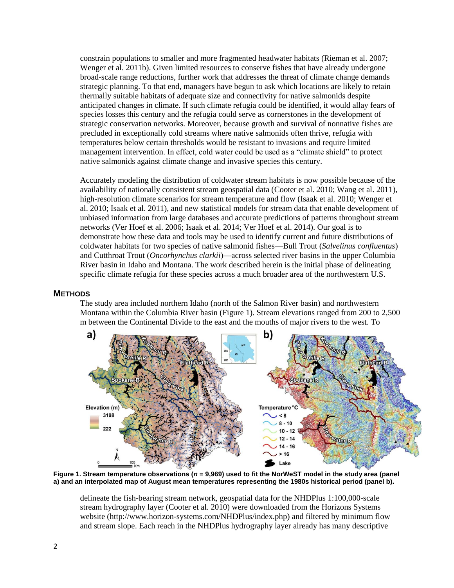constrain populations to smaller and more fragmented headwater habitats (Rieman et al. 2007; Wenger et al. 2011b). Given limited resources to conserve fishes that have already undergone broad-scale range reductions, further work that addresses the threat of climate change demands strategic planning. To that end, managers have begun to ask which locations are likely to retain thermally suitable habitats of adequate size and connectivity for native salmonids despite anticipated changes in climate. If such climate refugia could be identified, it would allay fears of species losses this century and the refugia could serve as cornerstones in the development of strategic conservation networks. Moreover, because growth and survival of nonnative fishes are precluded in exceptionally cold streams where native salmonids often thrive, refugia with temperatures below certain thresholds would be resistant to invasions and require limited management intervention. In effect, cold water could be used as a "climate shield" to protect native salmonids against climate change and invasive species this century.

Accurately modeling the distribution of coldwater stream habitats is now possible because of the availability of nationally consistent stream geospatial data (Cooter et al. 2010; Wang et al. 2011), high-resolution climate scenarios for stream temperature and flow (Isaak et al. 2010; Wenger et al. 2010; Isaak et al. 2011), and new statistical models for stream data that enable development of unbiased information from large databases and accurate predictions of patterns throughout stream networks (Ver Hoef et al. 2006; Isaak et al. 2014; Ver Hoef et al. 2014). Our goal is to demonstrate how these data and tools may be used to identify current and future distributions of coldwater habitats for two species of native salmonid fishes—Bull Trout (*Salvelinus confluentus*) and Cutthroat Trout (*Oncorhynchus clarkii*)—across selected river basins in the upper Columbia River basin in Idaho and Montana. The work described herein is the initial phase of delineating specific climate refugia for these species across a much broader area of the northwestern U.S.

#### **METHODS**

The study area included northern Idaho (north of the Salmon River basin) and northwestern Montana within the Columbia River basin (Figure 1). Stream elevations ranged from 200 to 2,500 m between the Continental Divide to the east and the mouths of major rivers to the west. To



**Figure 1. Stream temperature observations (***n* **= 9,969) used to fit the NorWeST model in the study area (panel a) and an interpolated map of August mean temperatures representing the 1980s historical period (panel b).**

delineate the fish-bearing stream network, geospatial data for the NHDPlus 1:100,000-scale stream hydrography layer (Cooter et al. 2010) were downloaded from the Horizons Systems website (http://www.horizon-systems.com/NHDPlus/index.php) and filtered by minimum flow and stream slope. Each reach in the NHDPlus hydrography layer already has many descriptive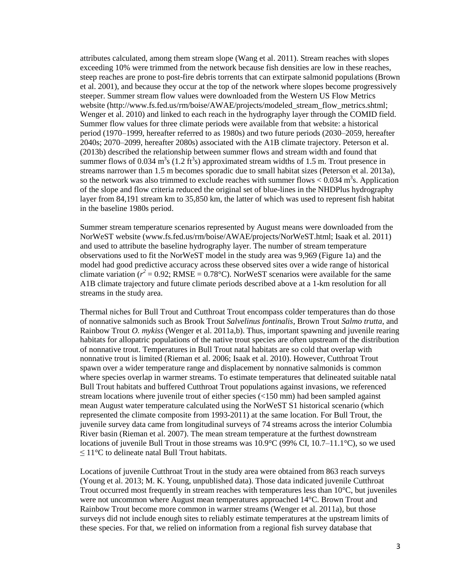attributes calculated, among them stream slope (Wang et al. 2011). Stream reaches with slopes exceeding 10% were trimmed from the network because fish densities are low in these reaches, steep reaches are prone to post-fire debris torrents that can extirpate salmonid populations (Brown et al. 2001), and because they occur at the top of the network where slopes become progressively steeper. Summer stream flow values were downloaded from the Western US Flow Metrics website (http://www.fs.fed.us/rm/boise/AWAE/projects/modeled\_stream\_flow\_metrics.shtml; Wenger et al. 2010) and linked to each reach in the hydrography layer through the COMID field. Summer flow values for three climate periods were available from that website: a historical period (1970–1999, hereafter referred to as 1980s) and two future periods (2030–2059, hereafter 2040s; 2070–2099, hereafter 2080s) associated with the A1B climate trajectory. Peterson et al. (2013b) described the relationship between summer flows and stream width and found that summer flows of 0.034  $\text{m}^3$ s (1.2 ft<sup>3</sup>s) approximated stream widths of 1.5 m. Trout presence in streams narrower than 1.5 m becomes sporadic due to small habitat sizes (Peterson et al. 2013a), so the network was also trimmed to exclude reaches with summer flows  $< 0.034$  m<sup>3</sup>s. Application of the slope and flow criteria reduced the original set of blue-lines in the NHDPlus hydrography layer from 84,191 stream km to 35,850 km, the latter of which was used to represent fish habitat in the baseline 1980s period.

Summer stream temperature scenarios represented by August means were downloaded from the NorWeST website (www.fs.fed.us/rm/boise/AWAE/projects/NorWeST.html; Isaak et al. 2011) and used to attribute the baseline hydrography layer. The number of stream temperature observations used to fit the NorWeST model in the study area was 9,969 (Figure 1a) and the model had good predictive accuracy across these observed sites over a wide range of historical climate variation  $(r^2 = 0.92; RMSE = 0.78^{\circ}C)$ . NorWeST scenarios were available for the same A1B climate trajectory and future climate periods described above at a 1-km resolution for all streams in the study area.

Thermal niches for Bull Trout and Cutthroat Trout encompass colder temperatures than do those of nonnative salmonids such as Brook Trout *Salvelinus fontinalis*, Brown Trout *Salmo trutta*, and Rainbow Trout *O. mykiss* (Wenger et al. 2011a,b). Thus, important spawning and juvenile rearing habitats for allopatric populations of the native trout species are often upstream of the distribution of nonnative trout. Temperatures in Bull Trout natal habitats are so cold that overlap with nonnative trout is limited (Rieman et al. 2006; Isaak et al. 2010). However, Cutthroat Trout spawn over a wider temperature range and displacement by nonnative salmonids is common where species overlap in warmer streams. To estimate temperatures that delineated suitable natal Bull Trout habitats and buffered Cutthroat Trout populations against invasions, we referenced stream locations where juvenile trout of either species (<150 mm) had been sampled against mean August water temperature calculated using the NorWeST S1 historical scenario (which represented the climate composite from 1993-2011) at the same location. For Bull Trout, the juvenile survey data came from longitudinal surveys of 74 streams across the interior Columbia River basin (Rieman et al. 2007). The mean stream temperature at the furthest downstream locations of juvenile Bull Trout in those streams was  $10.9^{\circ}C(99\% \text{ CI}, 10.7-11.1^{\circ}\text{C})$ , so we used  $\leq 11^{\circ}$ C to delineate natal Bull Trout habitats.

Locations of juvenile Cutthroat Trout in the study area were obtained from 863 reach surveys (Young et al. 2013; M. K. Young, unpublished data). Those data indicated juvenile Cutthroat Trout occurred most frequently in stream reaches with temperatures less than 10°C, but juveniles were not uncommon where August mean temperatures approached 14°C. Brown Trout and Rainbow Trout become more common in warmer streams (Wenger et al. 2011a), but those surveys did not include enough sites to reliably estimate temperatures at the upstream limits of these species. For that, we relied on information from a regional fish survey database that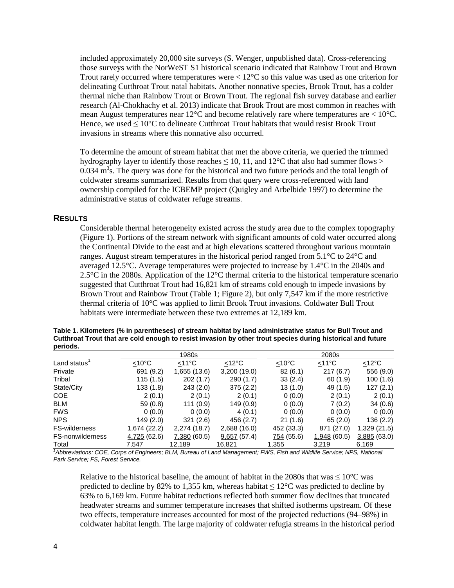included approximately 20,000 site surveys (S. Wenger, unpublished data). Cross-referencing those surveys with the NorWeST S1 historical scenario indicated that Rainbow Trout and Brown Trout rarely occurred where temperatures were  $\lt 12^{\circ}$ C so this value was used as one criterion for delineating Cutthroat Trout natal habitats. Another nonnative species, Brook Trout, has a colder thermal niche than Rainbow Trout or Brown Trout. The regional fish survey database and earlier research (Al-Chokhachy et al. 2013) indicate that Brook Trout are most common in reaches with mean August temperatures near 12 $^{\circ}$ C and become relatively rare where temperatures are  $< 10^{\circ}$ C. Hence, we used ≤ 10°C to delineate Cutthroat Trout habitats that would resist Brook Trout invasions in streams where this nonnative also occurred.

To determine the amount of stream habitat that met the above criteria, we queried the trimmed hydrography layer to identify those reaches  $\leq 10$ , 11, and  $12^{\circ}$ C that also had summer flows  $>$  $0.034 \text{ m}^3$ s. The query was done for the historical and two future periods and the total length of coldwater streams summarized. Results from that query were cross-referenced with land ownership compiled for the ICBEMP project (Quigley and Arbelbide 1997) to determine the administrative status of coldwater refuge streams.

### **RESULTS**

Considerable thermal heterogeneity existed across the study area due to the complex topography (Figure 1). Portions of the stream network with significant amounts of cold water occurred along the Continental Divide to the east and at high elevations scattered throughout various mountain ranges. August stream temperatures in the historical period ranged from 5.1°C to 24°C and averaged 12.5°C. Average temperatures were projected to increase by 1.4°C in the 2040s and 2.5°C in the 2080s. Application of the 12°C thermal criteria to the historical temperature scenario suggested that Cutthroat Trout had 16,821 km of streams cold enough to impede invasions by Brown Trout and Rainbow Trout (Table 1; Figure 2), but only 7,547 km if the more restrictive thermal criteria of 10°C was applied to limit Brook Trout invasions. Coldwater Bull Trout habitats were intermediate between these two extremes at 12,189 km.

| Table 1. Kilometers (% in parentneses) of stream habitat by land administrative status for Buil Trout and               |       |
|-------------------------------------------------------------------------------------------------------------------------|-------|
| Cutthroat Trout that are cold enough to resist invasion by other trout species during historical and future<br>periods. |       |
| 1980s                                                                                                                   | 2080s |

**Table 1. Kilometers (% in parentheses) of stream habitat by land administrative status for Bull Trout and** 

|                         | 1980s        |              |                 | 2080s               |             |                 |
|-------------------------|--------------|--------------|-----------------|---------------------|-------------|-----------------|
| Land status'            | $<$ 10°C     | $<$ 11°C     | $<12^{\circ}$ C | $<$ 10 $^{\circ}$ C | $<$ 11°C    | $<12^{\circ}$ C |
| Private                 | 691 (9.2)    | 1,655 (13.6) | 3,200 (19.0)    | 82(6.1)             | 217(6.7)    | 556 (9.0)       |
| Tribal                  | 115(1.5)     | 202(1.7)     | 290 (1.7)       | 33(2.4)             | 60(1.9)     | 100 (1.6)       |
| State/City              | 133(1.8)     | 243(2.0)     | 375(2.2)        | 13(1.0)             | 49 (1.5)    | 127(2.1)        |
| <b>COE</b>              | 2(0.1)       | 2(0.1)       | 2(0.1)          | 0(0.0)              | 2(0.1)      | 2(0.1)          |
| <b>BLM</b>              | 59 (0.8)     | 111(0.9)     | 149 (0.9)       | 0(0.0)              | 7(0.2)      | 34(0.6)         |
| <b>FWS</b>              | 0(0.0)       | 0(0.0)       | 4(0.1)          | 0(0.0)              | 0(0.0)      | 0(0.0)          |
| <b>NPS</b>              | 149 (2.0)    | 321(2.6)     | 456 (2.7)       | 21(1.6)             | 65(2.0)     | 136 (2.2)       |
| <b>FS-wilderness</b>    | 1,674 (22.2) | 2,274 (18.7) | 2,688 (16.0)    | 452 (33.3)          | 871 (27.0)  | 1,329(21.5)     |
| <b>FS-nonwilderness</b> | 4,725 (62.6) | 7,380(60.5)  | 9,657(57.4)     | 754 (55.6)          | 1,948(60.5) | 3,885(63.0)     |
| Total                   | 7.547        | 12,189       | 16,821          | 1,355               | 3,219       | 6,169           |

*<sup>1</sup>Abbreviations: COE, Corps of Engineers; BLM, Bureau of Land Management; FWS, Fish and Wildlife Service; NPS, National Park Service; FS, Forest Service.*

Relative to the historical baseline, the amount of habitat in the 2080s that was  $\leq 10^{\circ}$ C was predicted to decline by 82% to 1,355 km, whereas habitat  $\leq 12^{\circ}$ C was predicted to decline by 63% to 6,169 km. Future habitat reductions reflected both summer flow declines that truncated headwater streams and summer temperature increases that shifted isotherms upstream. Of these two effects, temperature increases accounted for most of the projected reductions (94–98%) in coldwater habitat length. The large majority of coldwater refugia streams in the historical period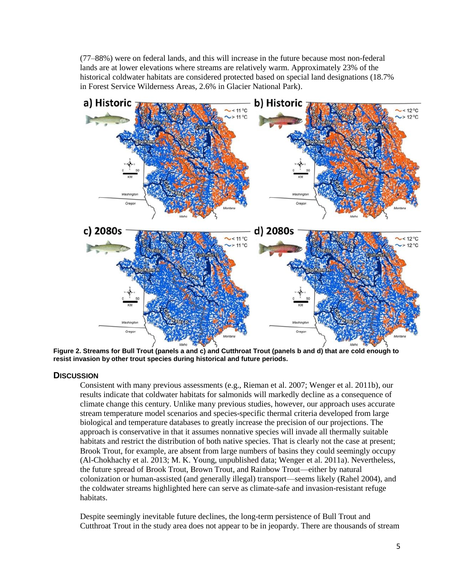(77–88%) were on federal lands, and this will increase in the future because most non-federal lands are at lower elevations where streams are relatively warm. Approximately 23% of the historical coldwater habitats are considered protected based on special land designations (18.7% in Forest Service Wilderness Areas, 2.6% in Glacier National Park).



**Figure 2. Streams for Bull Trout (panels a and c) and Cutthroat Trout (panels b and d) that are cold enough to resist invasion by other trout species during historical and future periods.**

## **DISCUSSION**

Consistent with many previous assessments (e.g., Rieman et al. 2007; Wenger et al. 2011b), our results indicate that coldwater habitats for salmonids will markedly decline as a consequence of climate change this century. Unlike many previous studies, however, our approach uses accurate stream temperature model scenarios and species-specific thermal criteria developed from large biological and temperature databases to greatly increase the precision of our projections. The approach is conservative in that it assumes nonnative species will invade all thermally suitable habitats and restrict the distribution of both native species. That is clearly not the case at present; Brook Trout, for example, are absent from large numbers of basins they could seemingly occupy (Al-Chokhachy et al. 2013; M. K. Young, unpublished data; Wenger et al. 2011a). Nevertheless, the future spread of Brook Trout, Brown Trout, and Rainbow Trout—either by natural colonization or human-assisted (and generally illegal) transport—seems likely (Rahel 2004), and the coldwater streams highlighted here can serve as climate-safe and invasion-resistant refuge habitats.

Despite seemingly inevitable future declines, the long-term persistence of Bull Trout and Cutthroat Trout in the study area does not appear to be in jeopardy. There are thousands of stream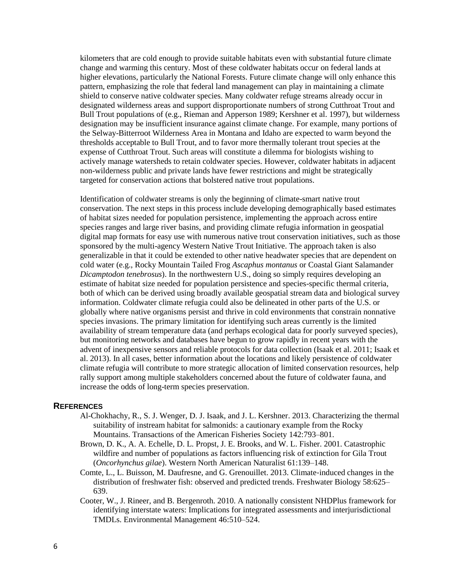kilometers that are cold enough to provide suitable habitats even with substantial future climate change and warming this century. Most of these coldwater habitats occur on federal lands at higher elevations, particularly the National Forests. Future climate change will only enhance this pattern, emphasizing the role that federal land management can play in maintaining a climate shield to conserve native coldwater species. Many coldwater refuge streams already occur in designated wilderness areas and support disproportionate numbers of strong Cutthroat Trout and Bull Trout populations of (e.g., Rieman and Apperson 1989; Kershner et al. 1997), but wilderness designation may be insufficient insurance against climate change. For example, many portions of the Selway-Bitterroot Wilderness Area in Montana and Idaho are expected to warm beyond the thresholds acceptable to Bull Trout, and to favor more thermally tolerant trout species at the expense of Cutthroat Trout. Such areas will constitute a dilemma for biologists wishing to actively manage watersheds to retain coldwater species. However, coldwater habitats in adjacent non-wilderness public and private lands have fewer restrictions and might be strategically targeted for conservation actions that bolstered native trout populations.

Identification of coldwater streams is only the beginning of climate-smart native trout conservation. The next steps in this process include developing demographically based estimates of habitat sizes needed for population persistence, implementing the approach across entire species ranges and large river basins, and providing climate refugia information in geospatial digital map formats for easy use with numerous native trout conservation initiatives, such as those sponsored by the multi-agency Western Native Trout Initiative. The approach taken is also generalizable in that it could be extended to other native headwater species that are dependent on cold water (e.g., Rocky Mountain Tailed Frog *Ascaphus montanus* or Coastal Giant Salamander *Dicamptodon tenebrosus*). In the northwestern U.S., doing so simply requires developing an estimate of habitat size needed for population persistence and species-specific thermal criteria, both of which can be derived using broadly available geospatial stream data and biological survey information. Coldwater climate refugia could also be delineated in other parts of the U.S. or globally where native organisms persist and thrive in cold environments that constrain nonnative species invasions. The primary limitation for identifying such areas currently is the limited availability of stream temperature data (and perhaps ecological data for poorly surveyed species), but monitoring networks and databases have begun to grow rapidly in recent years with the advent of inexpensive sensors and reliable protocols for data collection (Isaak et al. 2011; Isaak et al. 2013). In all cases, better information about the locations and likely persistence of coldwater climate refugia will contribute to more strategic allocation of limited conservation resources, help rally support among multiple stakeholders concerned about the future of coldwater fauna, and increase the odds of long-term species preservation.

#### **REFERENCES**

- Al-Chokhachy, R., S. J. Wenger, D. J. Isaak, and J. L. Kershner. 2013. Characterizing the thermal suitability of instream habitat for salmonids: a cautionary example from the Rocky Mountains. Transactions of the American Fisheries Society 142:793–801.
- Brown, D. K., A. A. Echelle, D. L. Propst, J. E. Brooks, and W. L. Fisher. 2001. Catastrophic wildfire and number of populations as factors influencing risk of extinction for Gila Trout (*Oncorhynchus gilae*). Western North American Naturalist 61:139–148.
- Comte, L., L. Buisson, M. Daufresne, and G. Grenouillet. 2013. Climate‐induced changes in the distribution of freshwater fish: observed and predicted trends. Freshwater Biology 58:625– 639.
- Cooter, W., J. Rineer, and B. Bergenroth. 2010. A nationally consistent NHDPlus framework for identifying interstate waters: Implications for integrated assessments and interjurisdictional TMDLs. Environmental Management 46:510–524.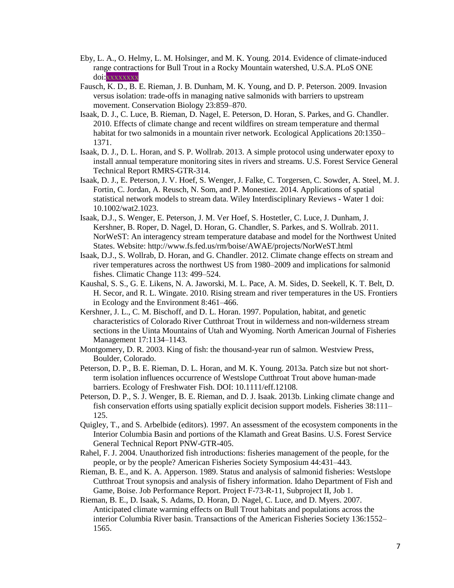- Eby, L. A., O. Helmy, L. M. Holsinger, and M. K. Young. 2014. Evidence of climate-induced range contractions for Bull Trout in a Rocky Mountain watershed, U.S.A. PLoS ONE doi:xxxxxxxx
- Fausch, K. D., B. E. Rieman, J. B. Dunham, M. K. Young, and D. P. Peterson. 2009. Invasion versus isolation: trade-offs in managing native salmonids with barriers to upstream movement. Conservation Biology 23:859–870.
- Isaak, D. J., C. Luce, B. Rieman, D. Nagel, E. Peterson, D. Horan, S. Parkes, and G. Chandler. 2010. Effects of climate change and recent wildfires on stream temperature and thermal habitat for two salmonids in a mountain river network. Ecological Applications 20:1350– 1371.
- Isaak, D. J., D. L. Horan, and S. P. Wollrab. 2013. A simple protocol using underwater epoxy to install annual temperature monitoring sites in rivers and streams. U.S. Forest Service General Technical Report RMRS-GTR-314.
- Isaak, D. J., E. Peterson, J. V. Hoef, S. Wenger, J. Falke, C. Torgersen, C. Sowder, A. Steel, M. J. Fortin, C. Jordan, A. Reusch, N. Som, and P. Monestiez. 2014. Applications of spatial statistical network models to stream data. Wiley Interdisciplinary Reviews - Water 1 doi: 10.1002/wat2.1023.
- Isaak, D.J., S. Wenger, E. Peterson, J. M. Ver Hoef, S. Hostetler, C. Luce, J. Dunham, J. Kershner, B. Roper, D. Nagel, D. Horan, G. Chandler, S. Parkes, and S. Wollrab. 2011. NorWeST: An interagency stream temperature database and model for the Northwest United States. Website: http://www.fs.fed.us/rm/boise/AWAE/projects/NorWeST.html
- Isaak, D.J., S. Wollrab, D. Horan, and G. Chandler. 2012. Climate change effects on stream and river temperatures across the northwest US from 1980–2009 and implications for salmonid fishes. Climatic Change 113: 499–524.
- Kaushal, S. S., G. E. Likens, N. A. Jaworski, M. L. Pace, A. M. Sides, D. Seekell, K. T. Belt, D. H. Secor, and R. L. Wingate. 2010. Rising stream and river temperatures in the US. Frontiers in Ecology and the Environment 8:461–466.
- Kershner, J. L., C. M. Bischoff, and D. L. Horan. 1997. Population, habitat, and genetic characteristics of Colorado River Cutthroat Trout in wilderness and non-wilderness stream sections in the Uinta Mountains of Utah and Wyoming. North American Journal of Fisheries Management 17:1134–1143.
- Montgomery, D. R. 2003. King of fish: the thousand-year run of salmon. Westview Press, Boulder, Colorado.
- Peterson, D. P., B. E. Rieman, D. L. Horan, and M. K. Young. 2013a. Patch size but not shortterm isolation influences occurrence of Westslope Cutthroat Trout above human-made barriers. Ecology of Freshwater Fish. DOI: 10.1111/eff.12108.
- Peterson, D. P., S. J. Wenger, B. E. Rieman, and D. J. Isaak. 2013b. Linking climate change and fish conservation efforts using spatially explicit decision support models. Fisheries 38:111– 125.
- Quigley, T., and S. Arbelbide (editors). 1997. An assessment of the ecosystem components in the Interior Columbia Basin and portions of the Klamath and Great Basins. U.S. Forest Service General Technical Report PNW-GTR-405.
- Rahel, F. J. 2004. Unauthorized fish introductions: fisheries management of the people, for the people, or by the people? American Fisheries Society Symposium 44:431–443.
- Rieman, B. E., and K. A. Apperson. 1989. Status and analysis of salmonid fisheries: Westslope Cutthroat Trout synopsis and analysis of fishery information. Idaho Department of Fish and Game, Boise. Job Performance Report. Project F-73-R-11, Subproject II, Job 1.
- Rieman, B. E., D. Isaak, S. Adams, D. Horan, D. Nagel, C. Luce, and D. Myers. 2007. Anticipated climate warming effects on Bull Trout habitats and populations across the interior Columbia River basin. Transactions of the American Fisheries Society 136:1552– 1565.